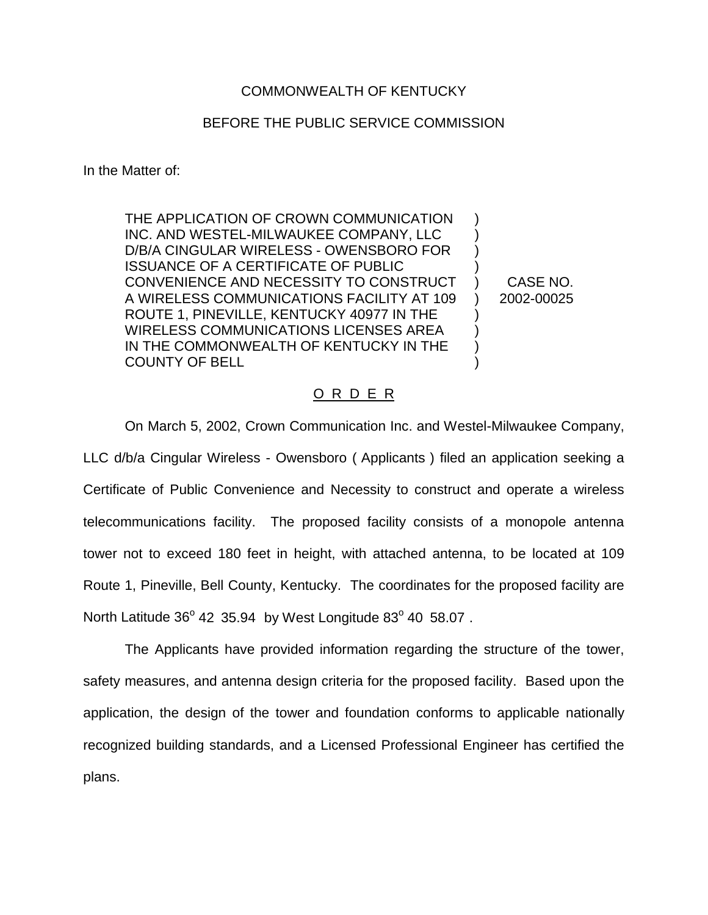## COMMONWEALTH OF KENTUCKY

## BEFORE THE PUBLIC SERVICE COMMISSION

In the Matter of:

THE APPLICATION OF CROWN COMMUNICATION INC. AND WESTEL-MILWAUKEE COMPANY, LLC D/B/A CINGULAR WIRELESS - OWENSBORO FOR ISSUANCE OF A CERTIFICATE OF PUBLIC CONVENIENCE AND NECESSITY TO CONSTRUCT A WIRELESS COMMUNICATIONS FACILITY AT 109 ROUTE 1, PINEVILLE, KENTUCKY 40977 IN THE WIRELESS COMMUNICATIONS LICENSES AREA IN THE COMMONWEALTH OF KENTUCKY IN THE COUNTY OF BELL ) ) ) ) ) ) ) ) ) )

CASE NO. 2002-00025

## O R D E R

On March 5, 2002, Crown Communication Inc. and Westel-Milwaukee Company, LLC d/b/a Cingular Wireless - Owensboro ( Applicants ) filed an application seeking a Certificate of Public Convenience and Necessity to construct and operate a wireless telecommunications facility. The proposed facility consists of a monopole antenna tower not to exceed 180 feet in height, with attached antenna, to be located at 109 Route 1, Pineville, Bell County, Kentucky. The coordinates for the proposed facility are North Latitude  $36^{\circ}$  42 35.94 by West Longitude  $83^{\circ}$  40 58.07.

The Applicants have provided information regarding the structure of the tower, safety measures, and antenna design criteria for the proposed facility. Based upon the application, the design of the tower and foundation conforms to applicable nationally recognized building standards, and a Licensed Professional Engineer has certified the plans.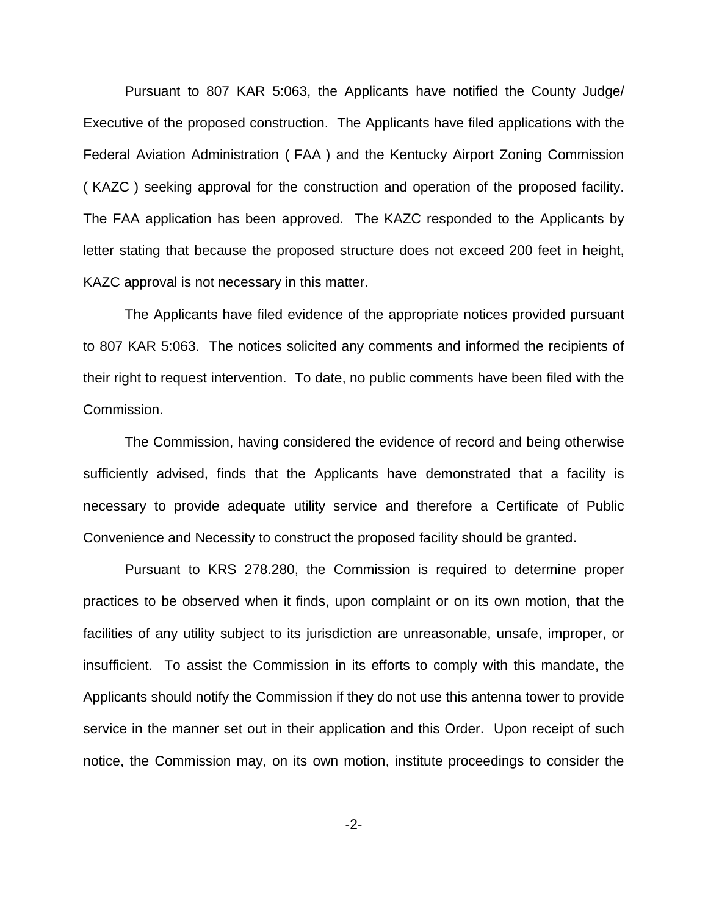Pursuant to 807 KAR 5:063, the Applicants have notified the County Judge/ Executive of the proposed construction. The Applicants have filed applications with the Federal Aviation Administration ( FAA ) and the Kentucky Airport Zoning Commission ( KAZC ) seeking approval for the construction and operation of the proposed facility. The FAA application has been approved. The KAZC responded to the Applicants by letter stating that because the proposed structure does not exceed 200 feet in height, KAZC approval is not necessary in this matter.

The Applicants have filed evidence of the appropriate notices provided pursuant to 807 KAR 5:063. The notices solicited any comments and informed the recipients of their right to request intervention. To date, no public comments have been filed with the Commission.

The Commission, having considered the evidence of record and being otherwise sufficiently advised, finds that the Applicants have demonstrated that a facility is necessary to provide adequate utility service and therefore a Certificate of Public Convenience and Necessity to construct the proposed facility should be granted.

Pursuant to KRS 278.280, the Commission is required to determine proper practices to be observed when it finds, upon complaint or on its own motion, that the facilities of any utility subject to its jurisdiction are unreasonable, unsafe, improper, or insufficient. To assist the Commission in its efforts to comply with this mandate, the Applicants should notify the Commission if they do not use this antenna tower to provide service in the manner set out in their application and this Order. Upon receipt of such notice, the Commission may, on its own motion, institute proceedings to consider the

-2-